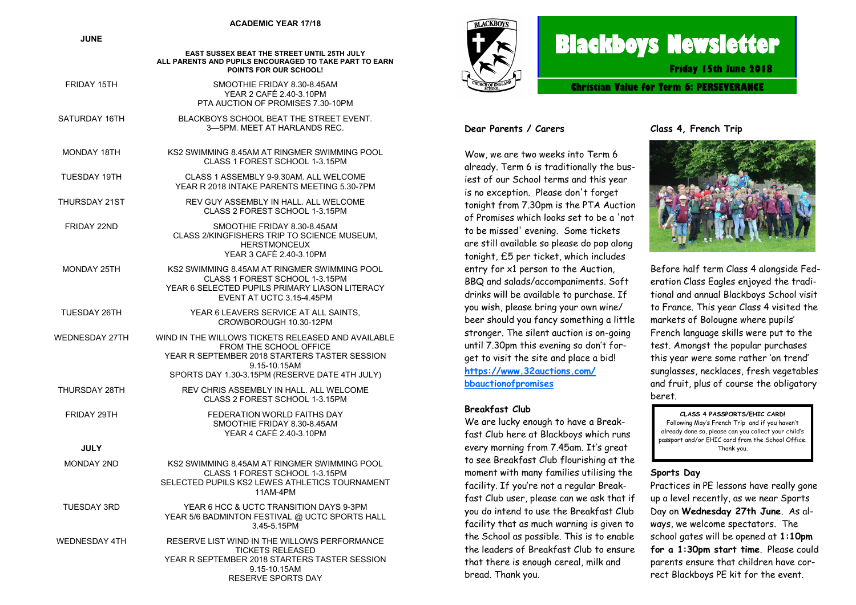#### **ACADEMIC YEAR 17/18**

**JUNE**

|                      | EAST SUSSEX BEAT THE STREET UNTIL 25TH JULY<br>ALL PARENTS AND PUPILS ENCOURAGED TO TAKE PART TO EARN<br>POINTS FOR OUR SCHOOL!                                                                 |
|----------------------|-------------------------------------------------------------------------------------------------------------------------------------------------------------------------------------------------|
| FRIDAY 15TH          | SMOOTHIE FRIDAY 8.30-8.45AM<br>YEAR 2 CAFÉ 2.40-3.10PM<br>PTA AUCTION OF PROMISES 7.30-10PM                                                                                                     |
| SATURDAY 16TH        | BLACKBOYS SCHOOL BEAT THE STREET EVENT.<br>3-5PM. MEET AT HARLANDS REC.                                                                                                                         |
| MONDAY 18TH          | KS2 SWIMMING 8.45AM AT RINGMER SWIMMING POOL<br>CLASS 1 FOREST SCHOOL 1-3.15PM                                                                                                                  |
| TUESDAY 19TH         | CLASS 1 ASSEMBLY 9-9.30AM. ALL WELCOME<br>YEAR R 2018 INTAKE PARENTS MEETING 5.30-7PM                                                                                                           |
| THURSDAY 21ST        | REV GUY ASSEMBLY IN HALL. ALL WELCOME<br>CLASS 2 FOREST SCHOOL 1-3.15PM                                                                                                                         |
| FRIDAY 22ND          | SMOOTHIE FRIDAY 8.30-8.45AM<br>CLASS 2/KINGFISHERS TRIP TO SCIENCE MUSEUM.<br><b>HERSTMONCEUX</b><br>YEAR 3 CAFÉ 2.40-3.10PM                                                                    |
| MONDAY 25TH          | KS2 SWIMMING 8.45AM AT RINGMER SWIMMING POOL<br>CLASS 1 FOREST SCHOOL 1-3.15PM<br>YEAR 6 SELECTED PUPILS PRIMARY LIASON LITERACY<br>EVENT AT UCTC 3.15-4.45PM                                   |
| TUESDAY 26TH         | YEAR 6 LEAVERS SERVICE AT ALL SAINTS.<br>CROWBOROUGH 10.30-12PM                                                                                                                                 |
| WEDNESDAY 27TH       | WIND IN THE WILLOWS TICKETS RELEASED AND AVAILABLE<br>FROM THE SCHOOL OFFICE<br>YEAR R SEPTEMBER 2018 STARTERS TASTER SESSION<br>9.15-10.15AM<br>SPORTS DAY 1.30-3.15PM (RESERVE DATE 4TH JULY) |
| THURSDAY 28TH        | REV CHRIS ASSEMBLY IN HALL. ALL WELCOME<br>CLASS 2 FOREST SCHOOL 1-3.15PM                                                                                                                       |
| FRIDAY 29TH          | FEDERATION WORLD FAITHS DAY<br>SMOOTHIE FRIDAY 8.30-8.45AM<br>YEAR 4 CAFÉ 2.40-3.10PM                                                                                                           |
| <b>JULY</b>          |                                                                                                                                                                                                 |
| MONDAY 2ND           | KS2 SWIMMING 8.45AM AT RINGMER SWIMMING POOL<br>CLASS 1 FOREST SCHOOL 1-3.15PM<br>SELECTED PUPILS KS2 LEWES ATHLETICS TOURNAMENT<br>11AM-4PM                                                    |
| <b>TUESDAY 3RD</b>   | YEAR 6 HCC & UCTC TRANSITION DAYS 9-3PM<br>YEAR 5/6 BADMINTON FESTIVAL @ UCTC SPORTS HALL<br>3.45-5.15PM                                                                                        |
| <b>WEDNESDAY 4TH</b> | RESERVE LIST WIND IN THE WILLOWS PERFORMANCE<br><b>TICKETS RELEASED</b><br>YEAR R SEPTEMBER 2018 STARTERS TASTER SESSION<br>9.15-10.15AM                                                        |

RESERVE SPORTS DAY



# **Blackboys Newsletter**

**Friday 15th June 2018**

**Christian Value for Term 6: PERSEVERANCE**

#### **Dear Parents / Carers**

Wow, we are two weeks into Term 6 already. Term 6 is traditionally the busiest of our School terms and this year is no exception. Please don't forget tonight from 7.30pm is the PTA Auction of Promises which looks set to be a 'not to be missed' evening. Some tickets are still available so please do pop along tonight, £5 per ticket, which includes entry for x1 person to the Auction, BBQ and salads/accompaniments. Soft drinks will be available to purchase. If you wish, please bring your own wine/ beer should you fancy something a little stronger. The silent auction is on-going until 7.30pm this evening so don't forget to visit the site and place a bid! **[https://www.32auctions.com/](https://www.32auctions.com/bbauctionofpromises) [bbauctionofpromises](https://www.32auctions.com/bbauctionofpromises)**

#### **Breakfast Club**

We are lucky enough to have a Breakfast Club here at Blackboys which runs every morning from 7.45am. It's great to see Breakfast Club flourishing at the moment with many families utilising the facility. If you're not a regular Breakfast Club user, please can we ask that if you do intend to use the Breakfast Club facility that as much warning is given to the School as possible. This is to enable the leaders of Breakfast Club to ensure that there is enough cereal, milk and bread. Thank you.

**Class 4, French Trip**



Before half term Class 4 alongside Federation Class Eagles enjoyed the traditional and annual Blackboys School visit to France. This year Class 4 visited the markets of Bolougne where pupils' French language skills were put to the test. Amongst the popular purchases this year were some rather 'on trend' sunglasses, necklaces, fresh vegetables and fruit, plus of course the obligatory beret.

**CLASS 4 PASSPORTS/EHIC CARD!** Following May's French Trip and if you haven't already done so, please can you collect your child's passport and/or EHIC card from the School Office. Thank you.

#### **Sports Day**

Practices in PE lessons have really gone up a level recently, as we near Sports Day on **Wednesday 27th June**. As always, we welcome spectators. The school gates will be opened at **1:10pm for a 1:30pm start time**. Please could parents ensure that children have correct Blackboys PE kit for the event.